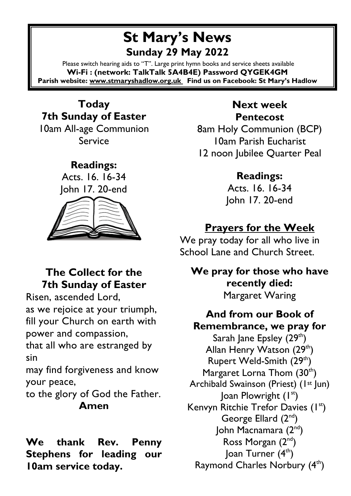# **St Mary's News Sunday 29 May 2022**

Please switch hearing aids to "T". Large print hymn books and service sheets available **Wi-Fi : (network: TalkTalk 5A4B4E) Password QYGEK4GM Parish website[: www.stmaryshadlow.org.uk](http://www.stmaryshadlow.org.uk/) Find us on Facebook: St Mary's Hadlow**

**Today 7th Sunday of Easter** 10am All-age Communion Service

> **Readings:** Acts. 16. 16-34 John 17. 20-end



### **The Collect for the 7th Sunday of Easter**

Risen, ascended Lord, as we rejoice at your triumph, fill your Church on earth with power and compassion,

that all who are estranged by sin

may find forgiveness and know your peace,

to the glory of God the Father. **Amen**

**We thank Rev. Penny Stephens for leading our 10am service today.** 

### **Next week Pentecost**

8am Holy Communion (BCP) 10am Parish Eucharist 12 noon Jubilee Quarter Peal

> **Readings:** Acts. 16. 16-34 John 17. 20-end

# **Prayers for the Week**

We pray today for all who live in School Lane and Church Street.

**We pray for those who have recently died:** Margaret Waring

**And from our Book of Remembrance, we pray for** Sarah Jane Epsley  $(29<sup>th</sup>)$ Allan Henry Watson  $(29<sup>th</sup>)$ Rupert Weld-Smith  $(29<sup>th</sup>)$ Margaret Lorna Thom  $(30<sup>th</sup>)$ Archibald Swainson (Priest) (1st Jun)  $Ioan$  Plowright  $(1<sup>st</sup>)$ Kenvyn Ritchie Trefor Davies (1st) George Ellard (2<sup>nd</sup>) John Macnamara (2nd) Ross Morgan (2<sup>nd</sup>) Joan Turner (4<sup>th</sup>) Raymond Charles Norbury (4th)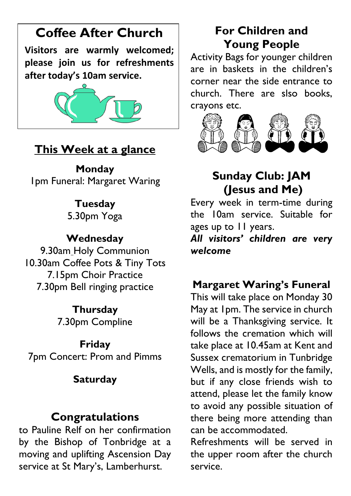# **Coffee After Church**

**Visitors are warmly welcomed; please join us for refreshments after today's 10am service.**



## **This Week at a glance**

**Monday** 1pm Funeral: Margaret Waring

## **Tuesday**

5.30pm Yoga

### **Wednesday**

9.30am Holy Communion 10.30am Coffee Pots & Tiny Tots 7.15pm Choir Practice 7.30pm Bell ringing practice

#### **Thursday**

7.30pm Compline

#### **Friday**

7pm Concert: Prom and Pimms

### **Saturday**

## **Congratulations**

to Pauline Relf on her confirmation by the Bishop of Tonbridge at a moving and uplifting Ascension Day service at St Mary's, Lamberhurst.

# **For Children and Young People**

Activity Bags for younger children are in baskets in the children's corner near the side entrance to church. There are slso books, crayons etc.



# **Sunday Club: JAM (Jesus and Me)**

Every week in term-time during the 10am service. Suitable for ages up to 11 years.

*All visitors' children are very welcome*

# **Margaret Waring's Funeral**

This will take place on Monday 30 May at 1pm. The service in church will be a Thanksgiving service. It follows the cremation which will take place at 10.45am at Kent and Sussex crematorium in Tunbridge Wells, and is mostly for the family, but if any close friends wish to attend, please let the family know to avoid any possible situation of there being more attending than can be accommodated.

Refreshments will be served in the upper room after the church service.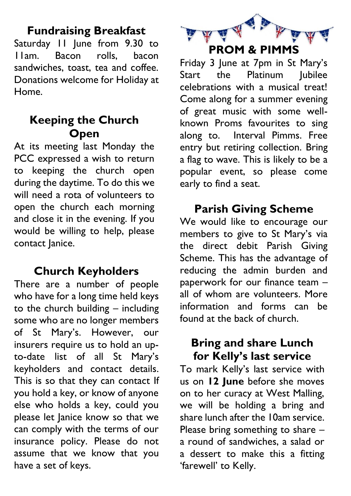## **Fundraising Breakfast**

Saturday 11 June from 9.30 to 11am. Bacon rolls, bacon sandwiches, toast, tea and coffee. Donations welcome for Holiday at Home.

### **Keeping the Church Open**

At its meeting last Monday the PCC expressed a wish to return to keeping the church open during the daytime. To do this we will need a rota of volunteers to open the church each morning and close it in the evening. If you would be willing to help, please contact lanice.

# **Church Keyholders**

There are a number of people who have for a long time held keys to the church building – including some who are no longer members of St Mary's. However, our insurers require us to hold an upto-date list of all St Mary's keyholders and contact details. This is so that they can contact If you hold a key, or know of anyone else who holds a key, could you please let Janice know so that we can comply with the terms of our insurance policy. Please do not assume that we know that you have a set of keys.



Friday 3 June at 7pm in St Mary's Start the Platinum Iubilee celebrations with a musical treat! Come along for a summer evening of great music with some wellknown Proms favourites to sing along to. Interval Pimms. Free entry but retiring collection. Bring a flag to wave. This is likely to be a popular event, so please come early to find a seat.

# **Parish Giving Scheme**

We would like to encourage our members to give to St Mary's via the direct debit Parish Giving Scheme. This has the advantage of reducing the admin burden and paperwork for our finance team – all of whom are volunteers. More information and forms can be found at the back of church.

### **Bring and share Lunch for Kelly's last service**

To mark Kelly's last service with us on **12 June** before she moves on to her curacy at West Malling, we will be holding a bring and share lunch after the 10am service. Please bring something to share – a round of sandwiches, a salad or a dessert to make this a fitting 'farewell' to Kelly.